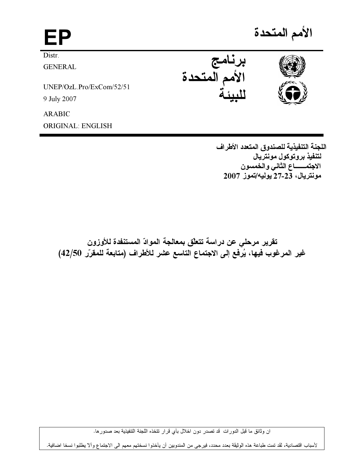الأمم المتحدة EP **Distr** برنامج<br>الأمم المتحدة **GENERAL**  $UNEP/OzL$ .  $Pro/ExCom/52/51$ 9 July 2007 **ARABIC** 

**ORIGINAL: ENGLISH** 

اللجنة التنفيذية للصندوق المتعدد الأطراف لتنفيذ بروتوكول مونتريال الاجتمــــــاع الثاني والخمسون مونتريال، 23-27 يوليه/تموز 2007

تقرير مرحلي عن دراسة تتعلّق بمعالجة الموادّ المستنفدة للأوزون غير المرغوب فيها، يُرفع إلى الاجتماع التاسع عشر للأطراف (متابعة للمقرّر 42/50)

ان وثائق ما قبل الدورات قد تصدر دون اخلال بأي قرار تتخذه اللجنة التتفيذية بعد صدورها.

لأسباب اقتصادية، لقد تمت طباعة هذه الوثيقة بعدد محدد، فيرجى من المندوبين أن يأخذوا نسختهم معهم الى الاجتماع وألا يطلبوا نسخا اضافية.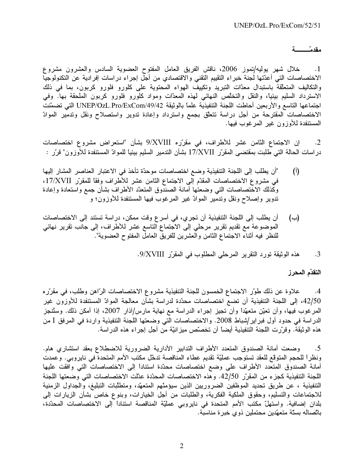## مقدم تصمية

خلال شهر يوليه/تموز 2006، ناقش الفريق العامل المفتوح العضوية السادس والعشرون مشروع  $\cdot$ 1 الاختصاصات التي أعدّتها لجنة خبراء التقييم التقني والاقتصادي من أجل إجراء دراسات إفرادية عن التكنولوجيا والتكاليف المتعلَّقة باستبدال معدَّات التبريد وتكييف الهواء المحتوية على كلورو فلورو كربون، بما في ذلك الاسترداد السليم بيئيًا، والنقل والتخلُّص النهائي لمهذه المعدَّات ومواد كلورو فلورو كربون الملحقة بها. وفي اجتماعها التاسع والأربعين أحاطت اللجنة التنفيذية علماً بالوثيقة UNEP/OzL.Pro/ExCom/49/42 التبي تضمّنت الاختصاصات المقترحة من أجل دراسة تتعلَّق بجمع واسترداد وإعادة تدوير واستصلاح ونقل وتدمير الموادّ المستنفدة للأوزون غير المرغوب فيها.

إن الاجتماع الثامن عشر للأطراف، في مقرّره 9/XVIII بشأن "استعراض مشروع اختصاصات  $\cdot$ .2 در اسات الحالة التـي طلبت بمقتضـي المقرّر 17/XVII بشأن التدمير السليم بيئيا للموادّ المستنفدة للأوزون" قرّر :

- "أن يطلب إلى اللجنة التنفيذية وضع اختصاصات موحدّة تأخذ في الاعتبار العناصر المشار إليها  $(\mathfrak{h})$ في مشروع الاختصاصات المقدّم إلى الاجتماع الثامن عشر للأطراف وفقاً للمقرّر 17/XVII، وكذلك الاختصاصات التي وضعتها أمانة الصندوق المتعدّد الأطراف بشأن جمع واستعادة وإعادة تدوير وإصلاح ونقل وتدمير الموادّ غير المرغوب فيها المستنفدة للأوزون؛ و
- أن يطلب إلى اللجنة التنفيذية أن تجري، في أسرع وقت ممكن، دراسة تستند إلى الاختصاصات  $(\rightarrow)$ الموضوعة مع تقديم تقرير مرحلي إلى الاجتماع التاسع عشر للأطراف، إلى جانب تقرير نهائي للنظر فيه أثناء الاجتماع الثامن والعشرين للفريق العامل المفتوح العضوية".

هذه الوثيقة تورد التقرير المرحلي المطلوب في المقرّر 9/XVIII.  $\cdot$ 3

## التقدّم المحرز

علاوة عن ذلك طوَّر الاجتماع الخمسون للجنة التنفيذية مشروع الاختصاصات الرَّاهن وطلب، في مقرَّره  $.4$ 42/50، إلى اللجنة التنفيذية أن تضع اختصاصات محدّدة لدراسة بشأن معالجة الموادّ المستنفدة للأوزون غير المرغوب فيها، وأن تعيّن متعهّداً وأن تجيز إجراء الدراسة مع نهاية مارس/آذار 2007، إذا أمكن ذلك. وستُنجز الدراسة في حدود أول فبر اير/شباط 2008. والاختصاصات التي وضعتها اللجنة التنفيذية واردة في المرفق I من هذه الوثيقة. وقرَّرت اللجنة التنفيذية أيضاً أن تخصَّص ميز انيَّة من أجل إجراء هذه الدراسة.

وضعت أمانة الصندوق المتعدد الأطراف التدابير الأدارية الضرورية للاضطلاع بعقد استشاري هام.  $\cdot$ .5 ونظراً للحجم المتوقع للعقد تستوجب عمليّة تقديم عطاء المناقصة تدخّل مكتب الأمم المتحدة في نايروبي. وعمدت أمانة الصندوق المتعدد الأطراف على وضع اختصاصات محدّدة استناداً إلى الاختصاصات التي وافقت عليها اللجنة التنفيذية كجز ء من المقرِّر 42/50. و هذه الاختصاصات المحدِّدة عدِّلت الاختصاصات التي وضعتها اللجنة التنفيذية ، عن طريق تحديد الموظفين الضروريين الذين سيؤمنّهم المتعهّد، ومتطلّبات التبليغ، والجداول الزمنية للاجتماعات والتسليم، وحقوق الملكية الفكرية، والطلبات من أجل الخيارات، وبنوع خاص بشأن الزيارات إلى بلدان إضافية. واستهلّ مكتب الأمم المتحدة في نايروبي عمليّة المناقصة استناداً إلى الاختصاصات المحدّدة، باتِّصـاله بستَّة متعهّدين محتملين ذوى خبر ة مناسبة.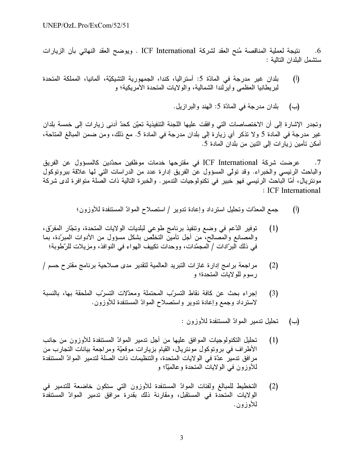نتيجة لعملية المناقصة مُنح العقد لشركة ICF International . ويوضح العقد النهائي بأن الزيارات .6 ستشمل البلدان التالية :

- بلدان غير مدرجة في المادّة 5: أستراليا، كندا، الجمهورية التشيكيّة، ألمانيا، المملكة المتحدة  $(\mathfrak{h})$ لبريطانيا العظمى وأيرلندا الشمالية، والولايات المتحدة الأمريكية؛ و
	- بلدان مدرجة في المادّة 5: المهند والبرازيل. (ب)

وتجدر الإشارة إلى أن الاختصاصات التي وافقت عليها اللجنة التنفيذية تعيّن كحدّ أدنى زيارات إلى خمسة بلدان غير مدرجة في المادة 5 ولا تذكر أي زيارة إلى بلدان مدرجة في المادة 5. مع ذلك، ومن ضمن المبالغ المتاحة، أمكن تأمين زيارات إلى اثنين من بلدان المادة 5.

عرضت شركة ICF International في مقترحها خدمات موظفين محدّدين كالمسؤول عن الفريق  $\cdot$ .7 والباحث الرئيسي والخبراء. وقد تولّي المسؤول عن الفريق إدارة عدد من الدراسات التي لمها علاقة ببروتوكول مونتريال، أمّا الباحث الرئيسي فهو خبير في تكنولوجيات التدمير . والخبرة التالية ذات الصلة متوافرة لدى شركة : ICF International

- جمع المعدَّات وتحليل استرداد وإعادة ندوير / استصلاح الموادّ المستنفدة للأوزون؛  $\left($ <sup>[</sup>)
- توفير الدَّعم في وضع وتنفيذ برنامج طوعي لبلديات الولايات المتحدة، وتجَّار المفرِّق،  $(1)$ والمصـانـع والمصـالـح، من أجل تأمين التخلُّص بشكل مسؤول من الأدوات المبرِّدة، بما في ذلك البرّادات / المجمّدات، ووحدات تكييف الـهواء في النوافذ، ومزيلات للرّطوبة؛
- مراجعة برامج إدارة غازات التبريد العالمية لتقدير مدى صلاحية برنامج مقترح حسم /  $(2)$ رسوم للولايات المتحدة؛ و
- إجراء بحث عن كافة نقاط التسرب المحتملة ومعدّلات التسرّب الملحقة بها، بالنسبة  $(3)$ لاسترداد وجمع وإعادة تدوير واستصلاح الموادّ المستنفدة للأوزون.
	- تحليل تدمير الموادّ المستنفدة للأوزون: (ب)
- تحليل التكنولوجيات الموافق عليها من أجل تدمير الموادّ المستنفدة للأوزون من جانب  $(1)$ الأطراف في بروتوكول مونتريال، القيام بزيارات موقعيّة ومراجعة بيانات التجارب من مر افق تدمير عدّة في الولايات المتحدة، والتنظيمات ذات الصلة لتدمير الموادّ المستنفدة للأوزون في الولايات المتحدة وعالميًّا؛ و
- التخطيط للمبالغ ولفئات الموادّ المستنفدة للأوزون التبي ستكون خاضعة للتدمير في  $(2)$ الولايات المتحدة في المستقبل، ومقارنة ذلك بقدرة مرافق تدمير الموادّ المستنفدة للأوز ون.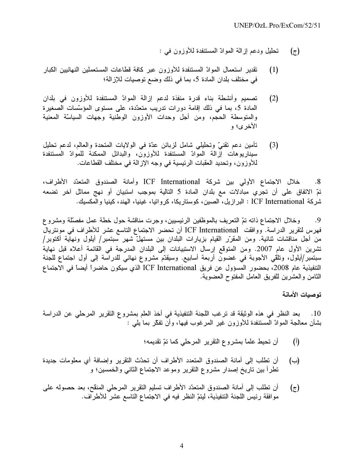- تحليل ودعم إزالة الموادّ المستنفدة للأوزون في :  $(\tau)$
- تقدير استعمال الموادّ المستنفدة للأوزون عبر كافة قطاعات المستعملين النهائيين الكبار  $(1)$ في مختلف بلدان المادة 5، بما في ذلك وضع توصيات للإز الة؛
- تصميم وأنشطة بناء قدرة منفذة لدعم إزالة الموادّ المستنفدة للأوزون في بلدان  $(2)$ المادة 5، بما في ذلك إقامة دورات تدريب متعدّدة، على مستوى المؤسّسات الصغير ة والمتوسطة الحجم، ومن أجل وحدات الأوزون الوطنية وجهات السياسّة المعنية الأخر ي؛ و
- تأمين دعم تقنيّ وتحليلي شامل لزبائن عدّة في الولايات المتحدة والعالم، لدعم تحليل  $(3)$ سيناريوهات إزالة الموادّ المستنفدة للأوزون، والبدائل الممكنة للموادّ المستنفدة للأوزون، وتحديد العقبات الرئيسية في وجه الإزالة في مختلف القطاعات.

خلال الاجتماع الأولى بين شركة ICF International وأمانة الصندوق المتعدّد الأطراف،  $.8$ تمّ الاتفاق على أن تجري مبادلات مع بلدان المادة 5 التالية بموجب استبيان أو نهج مماثل آخر تضعه شركة ICF International : البر ازيل، الصين، كوستاريكا، كرواتيا، غينيا، الهند، كينيا والمكسيك.

وخلال الاجتماع ذاته تمّ النعريف بالموظفين الرئيسيين، وجرت مناقشة حول خطة عمل مفصلة ومشروع  $\cdot$ .9 فهرس لتقرير الدراسة. ووافقت ICF International أن تحضر الاجتماع التاسع عشر للأطراف في مونتريال من أجل مناقشات ثنائية. ومن المقرّر القيام بزيارات البلدان بين مستهلّ شهر سبتمبر/ أيلول ونهآية أكتوبر/ تشرين الأول عام 2007. ومن المتوقع إرسال الاستبيانات إلى البلدان المدرجة في القائمة أعلاه قبل نهاية سبتمبر/أيلول، ونلقى الأجوبة في غضون أربعة أسابيع. وسيقدّم مشروع نهائي للدراسة إلى أول اجتماع للجنة التنفيذية عام 2008، بحضور المسؤول عن فريق ICF International الذي سيكون حاضراً أيضاً في الاجتماع الثامن والعشرين للفريق العامل المفتوح العضوية.

توصبات الأمانة

10. بعد النظر في هذه الوثيقة قد ترغب اللجنة التنفيذية في أخذ العلم بمشروع التقرير المرحلي عن الدراسة بشأن معالجة الموادّ المستنفدة للأوزون غير المرغوب فيها، وأن نفكّر بما يلمي :

- أن تحيط علماً بمشروع النقرير المرحلي كما تمّ تقديمه؛  $\mathcal{I}(\mathfrak{h})$
- أن تطلب إلى أمانة الصندوق المتعدد الأطراف أن تحدّث التقرير وإضافة أي معلومات جديدة  $(\rightarrow)$ تطرأ بين تاريخ إصدار مشروع التقرير وموعد الاجتماع الثانبي والخمسين؛ و
- أن نطلب إلى أمانة الصندوق المتعدَّد الأطراف تسليم النقرير المرحلي المنقح، بعد حصوله على (ج) موافقة رئيس اللجنة التنفيذية، ليتمّ النظر فيه في الاجتماع التاسع عشر للأطراف.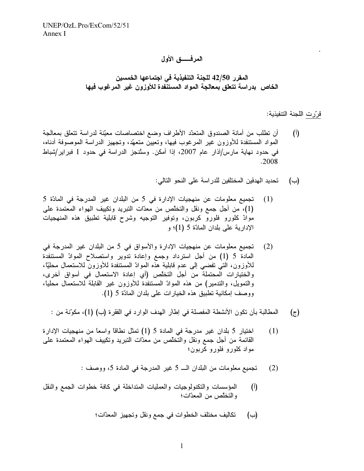المرفـــــق الأول

المقرر 42/50 للجنة التنفيذية في اجتماعها الخمسين الخاص بدراسة تتعلق بمعالجة المواد المستنفدة للأوزون غير المرغوب فيها

<u>قرّرت</u> اللجنة التنفيذية:

.

- (أ) أن تطلب من أمانة الصندوق المتعدّد الأطراف وضع اختصاصات معيّنة لدراسة نتعلق بمعالجة المواد المستنفدة للأوزون غير المرغوب فيها، وتعيين متعهّد، وتجهيز الدراسة الموصوفة أدناه، في حدود نهاية مارس/آذار عام 2007، إذا أمكن. وستُنجز الدراسة في حدود 1 فبراير/شباط .2008
	- يد المدفين المختلفين للدر اسة على النحو التالي:  $(\rightarrow)$
- (1) تجميع معلومات عن منهجيات الإدارة في 5 من البلدان غير المدرجة في المادّة 5 (1)، من أجل جمع ونقل والتخلص من معدّات التبريد وتكييف المهواء المعتمدة على موادّ كلورو فلورو كربون، وتوفير التوجيه وشرح قابلية تطبيق هذه المنهجيات الإدارية على بلدان المادّة 5 (1)؛ و
- (2) تجميع معلومات عن منهجيات الإدارة والأسواق في 5 من البلدان غير المدرجة في المادة 5 (1) من أجل استرداد وجمع وإعادة تدوير واستصلاح الموادّ المستنفدة للاوزون، التي تفضي إلى عدم قابلية هذه الموادّ المستنفدة للاوزون للاستعمال محليًّا، والختيارات المحتملة من أجل التخلّص (أي إعادة الاستعمال في أسواق أخرى، والتمويل، والتدمير) من هذه الموادّ المستنفدة للاوزون غير القابلة للاستعمال محليًا، ووصف إمكانية تطبيق هذه الخيارات على بلدان المادّة 5 (1).
	- (ج) المطالبة بأن تكون الأنشطة المفصلة في إطار المهدف الوارد في الفقرة (ب) (1)، مكوّنة من :
- ختيار 5 بلدان غير مدرجة في المادة 5 (1) تمثل نطاقاً واسعاً من منهجيات الإدارة (1) القائمة من أجل جمع ونقل والتخلّص من معدّات التبريد وتكييف المهواء المعتمدة على مواد كلورو فلورو كربون؛
	- : تجميع معلومات من البلدان الــــ 5 غير المدرجة في المادة 5، ووصف :
- (أ) المؤسسات والنكنولوجيات والعمليات المتداخلة في كافة خطوات الجمع والنقل والتخلّص من المعدّات؛
	- يف مختلف الخطوات في جمع ونقل وتجهيز المعدّات؛  $(\rightarrow)$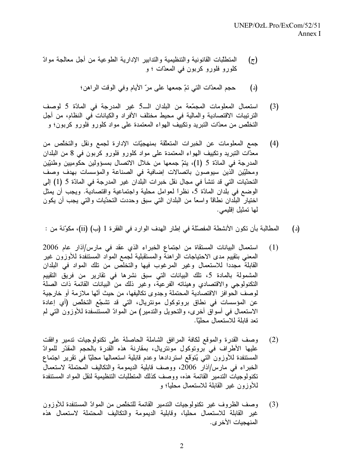- (ج) المتطلّبات القانونية والتنظيمية والتدابير الإدارية الطوعية من أجل معالجة موادّ كلورو فلورو كربون في المعدّات ؛ و
	- (د) حجم المعدَّات الَّتي تمَّ جمعها على مرَّ الايام وفي الوقت الراهن؛
- (3) استعمال المعلومات المجمّعة من البلدان الـــ5 غير المدرجة في المادّة 5 لوصف الترتيبات الاقتصادية والمالية في محيط مختلف الأفراد والكيانات في النظام، من أجل التخلُّص من معدَّات التبريد وتكييف المهواء المعتمدة على مواد كلورو فلورو كربون؛ و
- (4) جمع المعلومات عن الخبرات المتعلّقة بمنهجيّات الإدارة لجمع ونقل والتخلّص من معدَّات النبريد وتكييف الهواء المعتمدة على مواد كلورو فلورو كربون في 8 من البلدان المدرجة في المادّة 5 (1)، يتمّ جمعها من خلال الاتصال بمسؤولين حكوميين وطنيّين ومحلِّيِّين الذِّين سيوصون باتصالات إضافية في الصناعة والمؤسسات بهدف وصف التحدّيات التي قد تتشأ في مجال نقل خبر ات البلدان غير المدرجة في المادّة 5 (1) إلى الوضع في بلَّدان المادّة 5، نظراً لعوامل محلية واجتماعية واقتصاديّة. ويجب أن يمثل اختيار البلدان نطاقاً واسعاً من البلدان التي سبق وحددت التحدّيات والتي يجب أن يكون لها تمثيل إقليمي.
- (د) المطالبة بأن تكون الأنشطة المفصّلة في إطار الهدف الوارد في الفقرة 1 (ب) (ii)، مكوّنة من :
- (1) استعمال البيانات المستقاة من اجتماع الخبراء الذي عقد في مارس/آذار عام 2006 المعني بتقييم مدى الاحتياجات الراهنة والمستقبلية لجمع المواد المستنفدة للاوزون غير القابلة مجددا للاستعمال وغير المرغوب فيها والتخلص من تلك المواد في البلدان المشمولة بالمادة 5، تلك البيانات التي سبق نشرها في تقارير من فريق التقييم التكنولوجي والاقتصادي وهيئاته الفرعية، وغير ذلك من البيانات القائمة ذات الصلة لوصف الحوافز الاقتصادية المحتملة وجدوى نكاليفها، من حيث أنّها ملازمة أو خارجية عن المؤسسات في نطاق برونوكول مونتريال، التي قد تشجّع التخلّص (أي إعادة الاستعمال في أسواق أخرى، والتحويل والتدمير) من الموادّ المستنسفدة للأوزون التي لم تعد قابلة للاستعمال محليّاً.
- (2) وصف القدرة والموقع لكافة المرافق الشاملة الحاصلة على تكنولوجيات تدمير وافقت عليها الاطراف في بروتوكول مونتريال، بمقارنة هذه القدرة بالحجم المقدّر للموادّ المستنفدة للاوزون التي يُتوَقَّع استردادها وعدم قابلية استعمالها محليًّا في تقرير ًاجتماع الخبراء في مارس/آذار 2006، ووصف قابلية الديمومة والتكاليف المحتملة لاستعمال تكنولوجيات التدمير القائمة هذه، ووصف كذلك المتطلبات التنظيمية لنقل المواد المستنفدة للاوزون غير القابلة للاستعمال محليًا؛ و
- (3) وصف الظروف غير تكنولوجيات الندمير القائمة للتخلص من الموادّ المستنفدة للأوزون غير القابلة للاستعمال محليًا، وقابلية الديمومة والتكاليف المحتملة لاستعمال هذه المنهجيات الأخر *ى*.